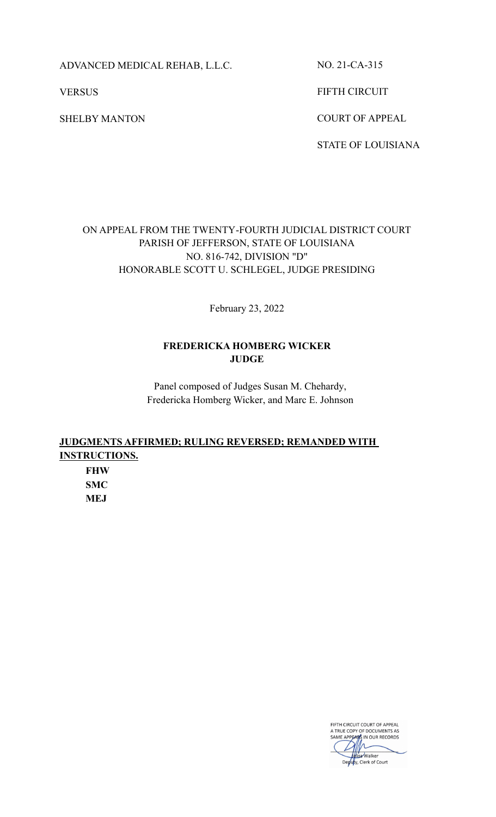ADVANCED MEDICAL REHAB, L.L.C.

**VERSUS** 

SHELBY MANTON

NO. 21-CA-315

FIFTH CIRCUIT

COURT OF APPEAL

STATE OF LOUISIANA

# ON APPEAL FROM THE TWENTY-FOURTH JUDICIAL DISTRICT COURT PARISH OF JEFFERSON, STATE OF LOUISIANA NO. 816-742, DIVISION "D" HONORABLE SCOTT U. SCHLEGEL, JUDGE PRESIDING

February 23, 2022

## **FREDERICKA HOMBERG WICKER JUDGE**

Panel composed of Judges Susan M. Chehardy, Fredericka Homberg Wicker, and Marc E. Johnson

# **JUDGMENTS AFFIRMED; RULING REVERSED; REMANDED WITH INSTRUCTIONS.**

**FHW SMC MEJ**

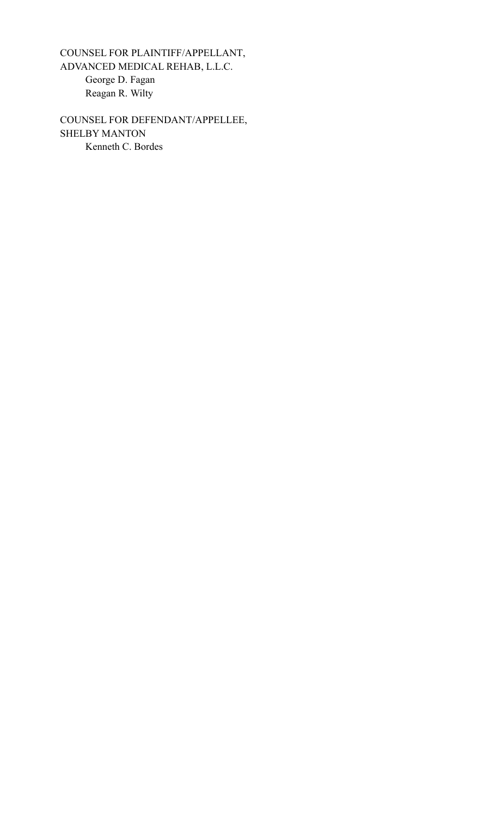COUNSEL FOR PLAINTIFF/APPELLANT, ADVANCED MEDICAL REHAB, L.L.C. George D. Fagan Reagan R. Wilty

COUNSEL FOR DEFENDANT/APPELLEE, SHELBY MANTON Kenneth C. Bordes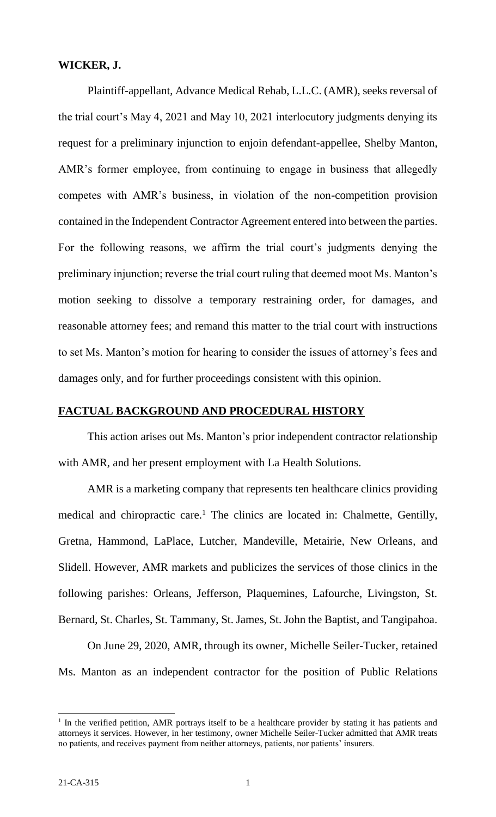### **WICKER, J.**

Plaintiff-appellant, Advance Medical Rehab, L.L.C. (AMR), seeks reversal of the trial court's May 4, 2021 and May 10, 2021 interlocutory judgments denying its request for a preliminary injunction to enjoin defendant-appellee, Shelby Manton, AMR's former employee, from continuing to engage in business that allegedly competes with AMR's business, in violation of the non-competition provision contained in the Independent Contractor Agreement entered into between the parties. For the following reasons, we affirm the trial court's judgments denying the preliminary injunction; reverse the trial court ruling that deemed moot Ms. Manton's motion seeking to dissolve a temporary restraining order, for damages, and reasonable attorney fees; and remand this matter to the trial court with instructions to set Ms. Manton's motion for hearing to consider the issues of attorney's fees and damages only, and for further proceedings consistent with this opinion.

### **FACTUAL BACKGROUND AND PROCEDURAL HISTORY**

This action arises out Ms. Manton's prior independent contractor relationship with AMR, and her present employment with La Health Solutions.

AMR is a marketing company that represents ten healthcare clinics providing medical and chiropractic care.<sup>1</sup> The clinics are located in: Chalmette, Gentilly, Gretna, Hammond, LaPlace, Lutcher, Mandeville, Metairie, New Orleans, and Slidell. However, AMR markets and publicizes the services of those clinics in the following parishes: Orleans, Jefferson, Plaquemines, Lafourche, Livingston, St. Bernard, St. Charles, St. Tammany, St. James, St. John the Baptist, and Tangipahoa.

On June 29, 2020, AMR, through its owner, Michelle Seiler-Tucker, retained Ms. Manton as an independent contractor for the position of Public Relations

<sup>&</sup>lt;sup>1</sup> In the verified petition, AMR portrays itself to be a healthcare provider by stating it has patients and attorneys it services. However, in her testimony, owner Michelle Seiler-Tucker admitted that AMR treats no patients, and receives payment from neither attorneys, patients, nor patients' insurers.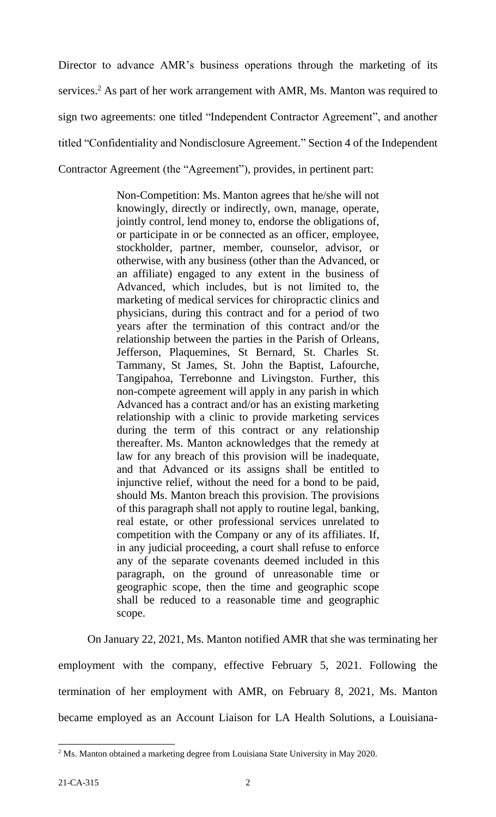Director to advance AMR's business operations through the marketing of its services.<sup>2</sup> As part of her work arrangement with AMR, Ms. Manton was required to sign two agreements: one titled "Independent Contractor Agreement", and another titled "Confidentiality and Nondisclosure Agreement." Section 4 of the Independent Contractor Agreement (the "Agreement"), provides, in pertinent part:

> Non-Competition: Ms. Manton agrees that he/she will not knowingly, directly or indirectly, own, manage, operate, jointly control, lend money to, endorse the obligations of, or participate in or be connected as an officer, employee, stockholder, partner, member, counselor, advisor, or otherwise, with any business (other than the Advanced, or an affiliate) engaged to any extent in the business of Advanced, which includes, but is not limited to, the marketing of medical services for chiropractic clinics and physicians, during this contract and for a period of two years after the termination of this contract and/or the relationship between the parties in the Parish of Orleans, Jefferson, Plaquemines, St Bernard, St. Charles St. Tammany, St James, St. John the Baptist, Lafourche, Tangipahoa, Terrebonne and Livingston. Further, this non-compete agreement will apply in any parish in which Advanced has a contract and/or has an existing marketing relationship with a clinic to provide marketing services during the term of this contract or any relationship thereafter. Ms. Manton acknowledges that the remedy at law for any breach of this provision will be inadequate, and that Advanced or its assigns shall be entitled to injunctive relief, without the need for a bond to be paid, should Ms. Manton breach this provision. The provisions of this paragraph shall not apply to routine legal, banking, real estate, or other professional services unrelated to competition with the Company or any of its affiliates. If, in any judicial proceeding, a court shall refuse to enforce any of the separate covenants deemed included in this paragraph, on the ground of unreasonable time or geographic scope, then the time and geographic scope shall be reduced to a reasonable time and geographic scope.

On January 22, 2021, Ms. Manton notified AMR that she was terminating her employment with the company, effective February 5, 2021. Following the termination of her employment with AMR, on February 8, 2021, Ms. Manton became employed as an Account Liaison for LA Health Solutions, a Louisiana-

 $\overline{a}$ <sup>2</sup> Ms. Manton obtained a marketing degree from Louisiana State University in May 2020.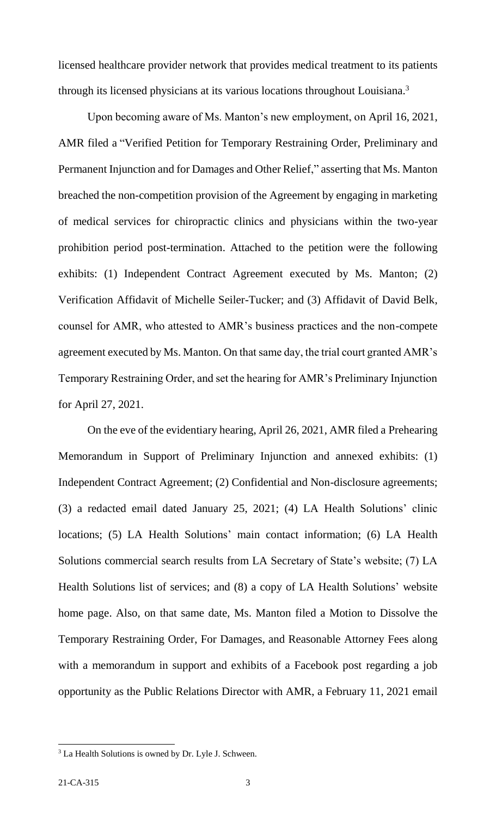licensed healthcare provider network that provides medical treatment to its patients through its licensed physicians at its various locations throughout Louisiana.<sup>3</sup>

Upon becoming aware of Ms. Manton's new employment, on April 16, 2021, AMR filed a "Verified Petition for Temporary Restraining Order, Preliminary and Permanent Injunction and for Damages and Other Relief," asserting that Ms. Manton breached the non-competition provision of the Agreement by engaging in marketing of medical services for chiropractic clinics and physicians within the two-year prohibition period post-termination. Attached to the petition were the following exhibits: (1) Independent Contract Agreement executed by Ms. Manton; (2) Verification Affidavit of Michelle Seiler-Tucker; and (3) Affidavit of David Belk, counsel for AMR, who attested to AMR's business practices and the non-compete agreement executed by Ms. Manton. On that same day, the trial court granted AMR's Temporary Restraining Order, and set the hearing for AMR's Preliminary Injunction for April 27, 2021.

On the eve of the evidentiary hearing, April 26, 2021, AMR filed a Prehearing Memorandum in Support of Preliminary Injunction and annexed exhibits: (1) Independent Contract Agreement; (2) Confidential and Non-disclosure agreements; (3) a redacted email dated January 25, 2021; (4) LA Health Solutions' clinic locations; (5) LA Health Solutions' main contact information; (6) LA Health Solutions commercial search results from LA Secretary of State's website; (7) LA Health Solutions list of services; and (8) a copy of LA Health Solutions' website home page. Also, on that same date, Ms. Manton filed a Motion to Dissolve the Temporary Restraining Order, For Damages, and Reasonable Attorney Fees along with a memorandum in support and exhibits of a Facebook post regarding a job opportunity as the Public Relations Director with AMR, a February 11, 2021 email

 $\overline{a}$ 

<sup>&</sup>lt;sup>3</sup> La Health Solutions is owned by Dr. Lyle J. Schween.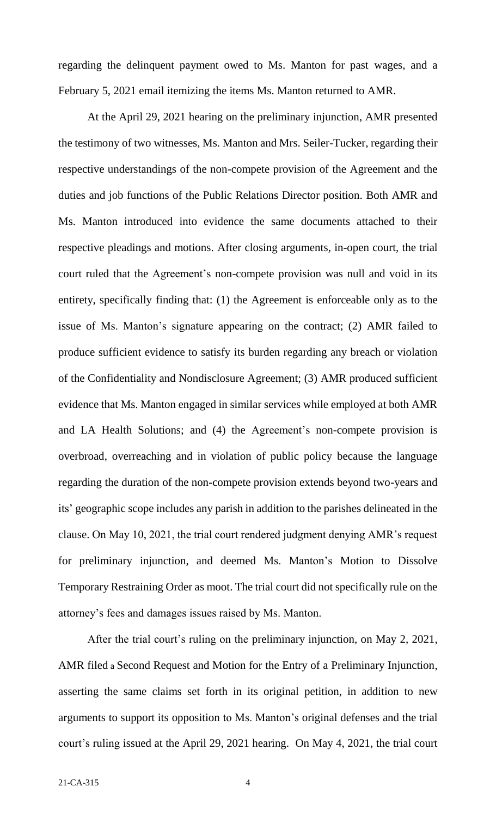regarding the delinquent payment owed to Ms. Manton for past wages, and a February 5, 2021 email itemizing the items Ms. Manton returned to AMR.

At the April 29, 2021 hearing on the preliminary injunction, AMR presented the testimony of two witnesses, Ms. Manton and Mrs. Seiler-Tucker, regarding their respective understandings of the non-compete provision of the Agreement and the duties and job functions of the Public Relations Director position. Both AMR and Ms. Manton introduced into evidence the same documents attached to their respective pleadings and motions. After closing arguments, in-open court, the trial court ruled that the Agreement's non-compete provision was null and void in its entirety, specifically finding that: (1) the Agreement is enforceable only as to the issue of Ms. Manton's signature appearing on the contract; (2) AMR failed to produce sufficient evidence to satisfy its burden regarding any breach or violation of the Confidentiality and Nondisclosure Agreement; (3) AMR produced sufficient evidence that Ms. Manton engaged in similar services while employed at both AMR and LA Health Solutions; and (4) the Agreement's non-compete provision is overbroad, overreaching and in violation of public policy because the language regarding the duration of the non-compete provision extends beyond two-years and its' geographic scope includes any parish in addition to the parishes delineated in the clause. On May 10, 2021, the trial court rendered judgment denying AMR's request for preliminary injunction, and deemed Ms. Manton's Motion to Dissolve Temporary Restraining Order as moot. The trial court did not specifically rule on the attorney's fees and damages issues raised by Ms. Manton.

After the trial court's ruling on the preliminary injunction, on May 2, 2021, AMR filed a Second Request and Motion for the Entry of a Preliminary Injunction, asserting the same claims set forth in its original petition, in addition to new arguments to support its opposition to Ms. Manton's original defenses and the trial court's ruling issued at the April 29, 2021 hearing. On May 4, 2021, the trial court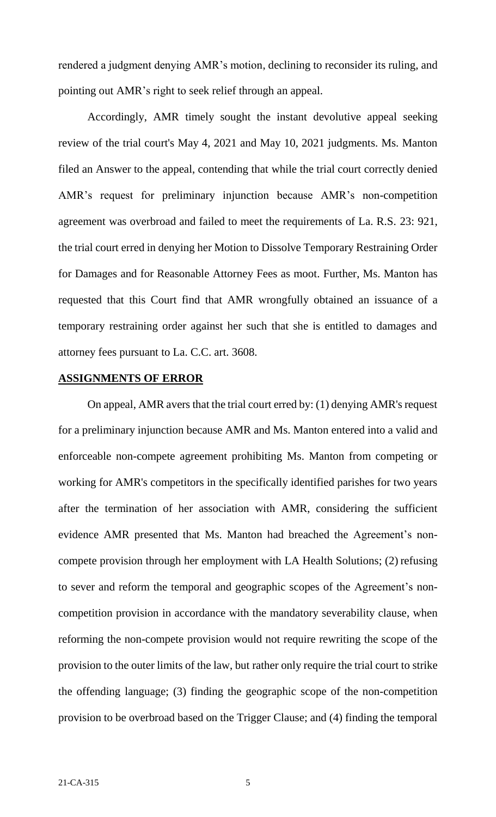rendered a judgment denying AMR's motion, declining to reconsider its ruling, and pointing out AMR's right to seek relief through an appeal.

Accordingly, AMR timely sought the instant devolutive appeal seeking review of the trial court's May 4, 2021 and May 10, 2021 judgments. Ms. Manton filed an Answer to the appeal, contending that while the trial court correctly denied AMR's request for preliminary injunction because AMR's non-competition agreement was overbroad and failed to meet the requirements of La. R.S. 23: 921, the trial court erred in denying her Motion to Dissolve Temporary Restraining Order for Damages and for Reasonable Attorney Fees as moot. Further, Ms. Manton has requested that this Court find that AMR wrongfully obtained an issuance of a temporary restraining order against her such that she is entitled to damages and attorney fees pursuant to La. C.C. art. 3608.

### **ASSIGNMENTS OF ERROR**

On appeal, AMR avers that the trial court erred by: (1) denying AMR's request for a preliminary injunction because AMR and Ms. Manton entered into a valid and enforceable non-compete agreement prohibiting Ms. Manton from competing or working for AMR's competitors in the specifically identified parishes for two years after the termination of her association with AMR, considering the sufficient evidence AMR presented that Ms. Manton had breached the Agreement's noncompete provision through her employment with LA Health Solutions; (2) refusing to sever and reform the temporal and geographic scopes of the Agreement's noncompetition provision in accordance with the mandatory severability clause, when reforming the non-compete provision would not require rewriting the scope of the provision to the outer limits of the law, but rather only require the trial court to strike the offending language; (3) finding the geographic scope of the non-competition provision to be overbroad based on the Trigger Clause; and (4) finding the temporal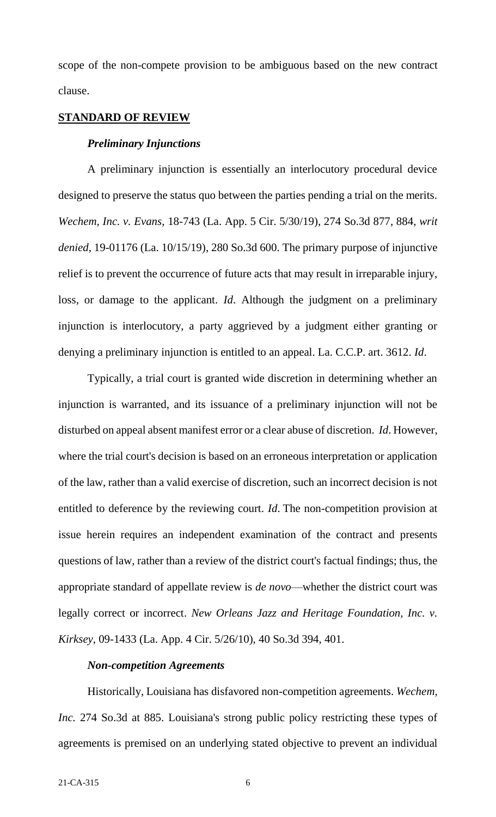scope of the non-compete provision to be ambiguous based on the new contract clause.

#### **STANDARD OF REVIEW**

#### *Preliminary Injunctions*

A preliminary injunction is essentially an interlocutory procedural device designed to preserve the status quo between the parties pending a trial on the merits. *Wechem, Inc. v. Evans*, 18-743 (La. App. 5 Cir. 5/30/19), 274 So.3d 877, 884, *writ denied*, 19-01176 (La. 10/15/19), 280 So.3d 600. The primary purpose of injunctive relief is to prevent the occurrence of future acts that may result in irreparable injury, loss, or damage to the applicant. *Id*. Although the judgment on a preliminary injunction is interlocutory, a party aggrieved by a judgment either granting or denying a preliminary injunction is entitled to an appeal. La. C.C.P. art. 3612. *Id*.

Typically, a trial court is granted wide discretion in determining whether an injunction is warranted, and its issuance of a preliminary injunction will not be disturbed on appeal absent manifest error or a clear abuse of discretion. *Id*. However, where the trial court's decision is based on an erroneous interpretation or application of the law, rather than a valid exercise of discretion, such an incorrect decision is not entitled to deference by the reviewing court. *Id*. The non-competition provision at issue herein requires an independent examination of the contract and presents questions of law, rather than a review of the district court's factual findings; thus, the appropriate standard of appellate review is *de novo*—whether the district court was legally correct or incorrect. *New Orleans Jazz and Heritage Foundation, Inc. v. Kirksey*, 09-1433 (La. App. 4 Cir. 5/26/10), 40 So.3d 394, 401.

### *Non-competition Agreements*

Historically, Louisiana has disfavored non-competition agreements. *Wechem, Inc.* 274 So.3d at 885. Louisiana's strong public policy restricting these types of agreements is premised on an underlying stated objective to prevent an individual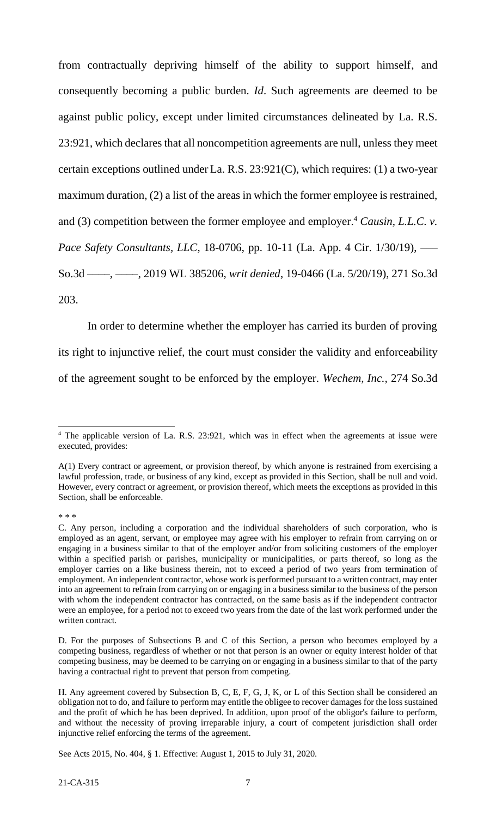from contractually depriving himself of the ability to support himself, and consequently becoming a public burden. *Id*. Such agreements are deemed to be against public policy, except under limited circumstances delineated by La. R.S. 23:921, which declares that all noncompetition agreements are null, unless they meet certain exceptions outlined under La. R.S. 23:921(C), which requires: (1) a two-year maximum duration, (2) a list of the areas in which the former employee is restrained, and (3) competition between the former employee and employer.<sup>4</sup> *Causin, L.L.C. v. Pace Safety Consultants, LLC*, 18-0706, pp. 10-11 (La. App. 4 Cir. 1/30/19), — So.3d ––––, ––––, 2019 WL 385206, *writ denied*, 19-0466 (La. 5/20/19), 271 So.3d 203.

In order to determine whether the employer has carried its burden of proving its right to injunctive relief, the court must consider the validity and enforceability of the agreement sought to be enforced by the employer. *Wechem, Inc.,* 274 So.3d

\* \* \*

 $\overline{a}$ 

<sup>&</sup>lt;sup>4</sup> The applicable version of La. R.S. 23:921, which was in effect when the agreements at issue were executed, provides:

A(1) Every contract or agreement, or provision thereof, by which anyone is restrained from exercising a lawful profession, trade, or business of any kind, except as provided in this Section, shall be null and void. However, every contract or agreement, or provision thereof, which meets the exceptions as provided in this Section, shall be enforceable.

C. Any person, including a corporation and the individual shareholders of such corporation, who is employed as an agent, servant, or employee may agree with his employer to refrain from carrying on or engaging in a business similar to that of the employer and/or from soliciting customers of the employer within a specified parish or parishes, municipality or municipalities, or parts thereof, so long as the employer carries on a like business therein, not to exceed a period of two years from termination of employment. An independent contractor, whose work is performed pursuant to a written contract, may enter into an agreement to refrain from carrying on or engaging in a business similar to the business of the person with whom the independent contractor has contracted, on the same basis as if the independent contractor were an employee, for a period not to exceed two years from the date of the last work performed under the written contract.

D. For the purposes of Subsections B and C of this Section, a person who becomes employed by a competing business, regardless of whether or not that person is an owner or equity interest holder of that competing business, may be deemed to be carrying on or engaging in a business similar to that of the party having a contractual right to prevent that person from competing.

H. Any agreement covered by Subsection B, C, E, F, G, J, K, or L of this Section shall be considered an obligation not to do, and failure to perform may entitle the obligee to recover damages for the loss sustained and the profit of which he has been deprived. In addition, upon proof of the obligor's failure to perform, and without the necessity of proving irreparable injury, a court of competent jurisdiction shall order injunctive relief enforcing the terms of the agreement.

See Acts 2015, No. 404, § 1. Effective: August 1, 2015 to July 31, 2020.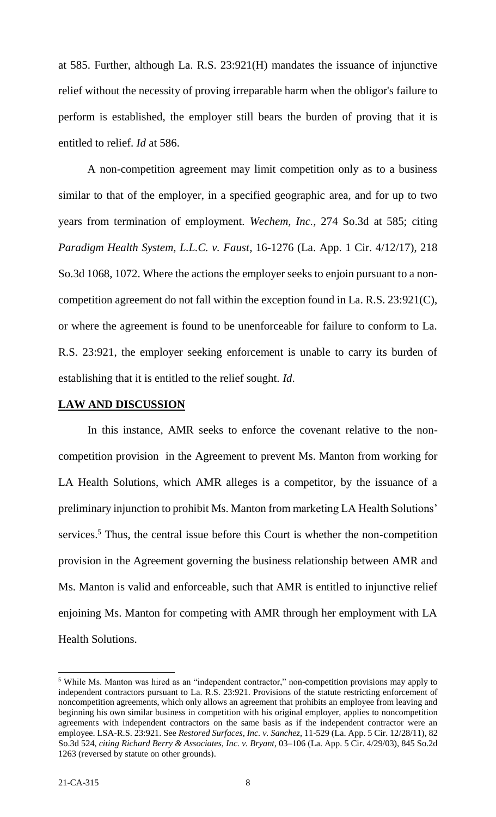at 585. Further, although La. R.S. 23:921(H) mandates the issuance of injunctive relief without the necessity of proving irreparable harm when the obligor's failure to perform is established, the employer still bears the burden of proving that it is entitled to relief. *Id* at 586.

A non-competition agreement may limit competition only as to a business similar to that of the employer, in a specified geographic area, and for up to two years from termination of employment. *Wechem, Inc.,* 274 So.3d at 585; citing *Paradigm Health System, L.L.C. v. Faust*, 16-1276 (La. App. 1 Cir. 4/12/17), 218 So.3d 1068, 1072. Where the actions the employer seeks to enjoin pursuant to a noncompetition agreement do not fall within the exception found in La. R.S. 23:921(C), or where the agreement is found to be unenforceable for failure to conform to La. R.S. 23:921, the employer seeking enforcement is unable to carry its burden of establishing that it is entitled to the relief sought. *Id*.

### **LAW AND DISCUSSION**

In this instance, AMR seeks to enforce the covenant relative to the noncompetition provision in the Agreement to prevent Ms. Manton from working for LA Health Solutions, which AMR alleges is a competitor, by the issuance of a preliminary injunction to prohibit Ms. Manton from marketing LA Health Solutions' services.<sup>5</sup> Thus, the central issue before this Court is whether the non-competition provision in the Agreement governing the business relationship between AMR and Ms. Manton is valid and enforceable, such that AMR is entitled to injunctive relief enjoining Ms. Manton for competing with AMR through her employment with LA Health Solutions.

 $\overline{\phantom{a}}$ 

<sup>&</sup>lt;sup>5</sup> While Ms. Manton was hired as an "independent contractor," non-competition provisions may apply to independent contractors pursuant to La. R.S. 23:921. Provisions of the statute restricting enforcement of noncompetition agreements, which only allows an agreement that prohibits an employee from leaving and beginning his own similar business in competition with his original employer, applies to noncompetition agreements with independent contractors on the same basis as if the independent contractor were an employee. LSA-R.S. 23:921. See *Restored Surfaces, Inc. v. Sanchez*, 11-529 (La. App. 5 Cir. 12/28/11), 82 So.3d 524, *citing Richard Berry & Associates, Inc. v. Bryant*, 03–106 (La. App. 5 Cir. 4/29/03), 845 So.2d 1263 (reversed by statute on other grounds).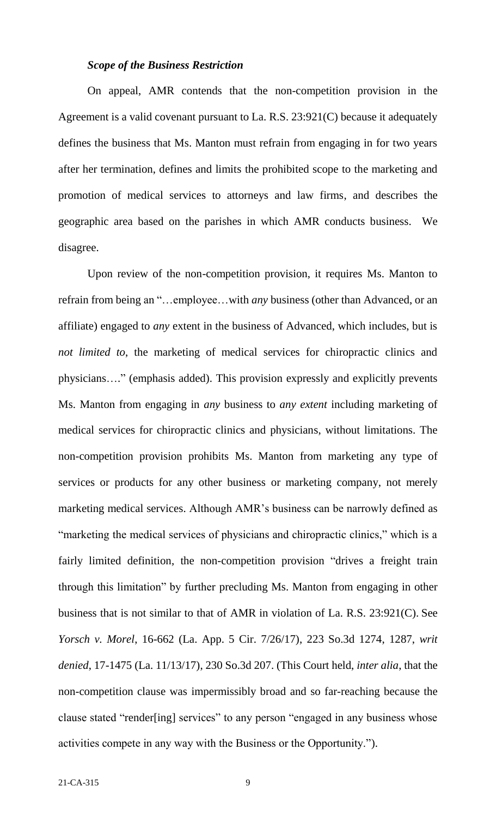### *Scope of the Business Restriction*

On appeal, AMR contends that the non-competition provision in the Agreement is a valid covenant pursuant to La. R.S. 23:921(C) because it adequately defines the business that Ms. Manton must refrain from engaging in for two years after her termination, defines and limits the prohibited scope to the marketing and promotion of medical services to attorneys and law firms, and describes the geographic area based on the parishes in which AMR conducts business. We disagree.

Upon review of the non-competition provision, it requires Ms. Manton to refrain from being an "…employee…with *any* business (other than Advanced, or an affiliate) engaged to *any* extent in the business of Advanced, which includes, but is *not limited to*, the marketing of medical services for chiropractic clinics and physicians…." (emphasis added). This provision expressly and explicitly prevents Ms. Manton from engaging in *any* business to *any extent* including marketing of medical services for chiropractic clinics and physicians, without limitations. The non-competition provision prohibits Ms. Manton from marketing any type of services or products for any other business or marketing company, not merely marketing medical services. Although AMR's business can be narrowly defined as "marketing the medical services of physicians and chiropractic clinics," which is a fairly limited definition, the non-competition provision "drives a freight train through this limitation" by further precluding Ms. Manton from engaging in other business that is not similar to that of AMR in violation of La. R.S. 23:921(C). See *Yorsch v. Morel*, 16-662 (La. App. 5 Cir. 7/26/17), 223 So.3d 1274, 1287, *writ denied*, 17-1475 (La. 11/13/17), 230 So.3d 207. (This Court held, *inter alia*, that the non-competition clause was impermissibly broad and so far-reaching because the clause stated "render[ing] services" to any person "engaged in any business whose activities compete in any way with the Business or the Opportunity.").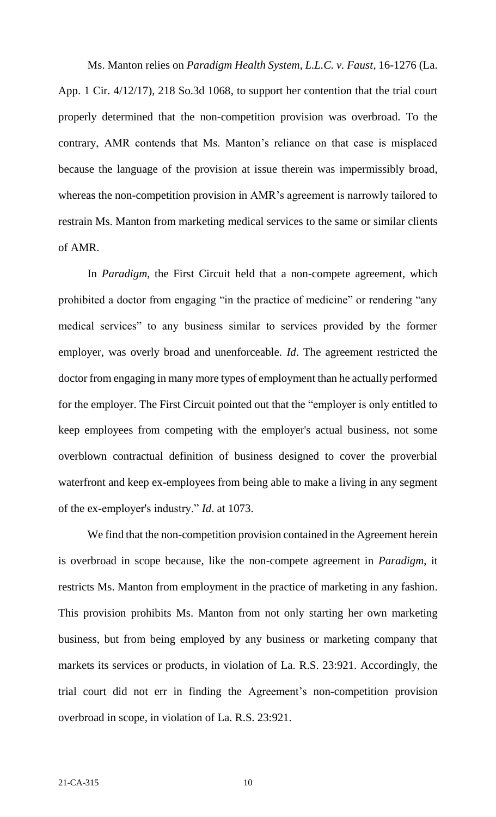Ms. Manton relies on *Paradigm Health System, L.L.C. v. Faust*, 16-1276 (La. App. 1 Cir. 4/12/17), 218 So.3d 1068, to support her contention that the trial court properly determined that the non-competition provision was overbroad. To the contrary, AMR contends that Ms. Manton's reliance on that case is misplaced because the language of the provision at issue therein was impermissibly broad, whereas the non-competition provision in AMR's agreement is narrowly tailored to restrain Ms. Manton from marketing medical services to the same or similar clients of AMR.

In *Paradigm*, the First Circuit held that a non-compete agreement, which prohibited a doctor from engaging "in the practice of medicine" or rendering "any medical services" to any business similar to services provided by the former employer, was overly broad and unenforceable. *Id*. The agreement restricted the doctor from engaging in many more types of employment than he actually performed for the employer. The First Circuit pointed out that the "employer is only entitled to keep employees from competing with the employer's actual business, not some overblown contractual definition of business designed to cover the proverbial waterfront and keep ex-employees from being able to make a living in any segment of the ex-employer's industry." *Id*. at 1073.

We find that the non-competition provision contained in the Agreement herein is overbroad in scope because, like the non-compete agreement in *Paradigm*, it restricts Ms. Manton from employment in the practice of marketing in any fashion. This provision prohibits Ms. Manton from not only starting her own marketing business, but from being employed by any business or marketing company that markets its services or products, in violation of La. R.S. 23:921. Accordingly, the trial court did not err in finding the Agreement's non-competition provision overbroad in scope, in violation of La. R.S. 23:921.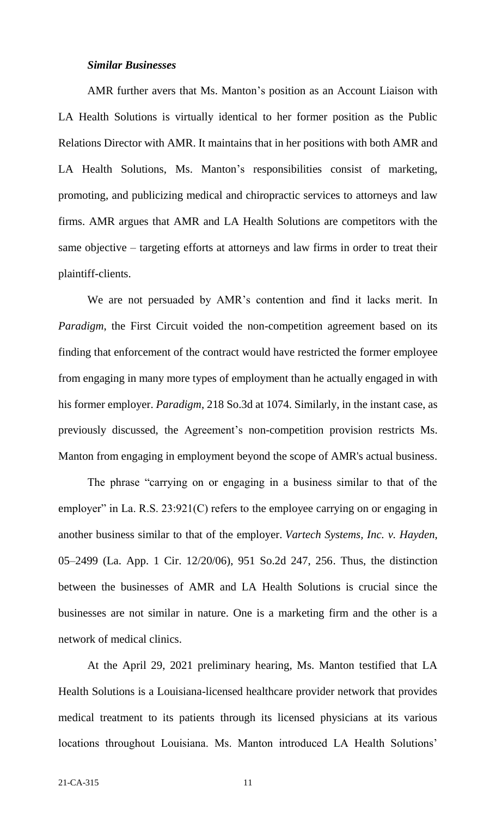#### *Similar Businesses*

AMR further avers that Ms. Manton's position as an Account Liaison with LA Health Solutions is virtually identical to her former position as the Public Relations Director with AMR. It maintains that in her positions with both AMR and LA Health Solutions, Ms. Manton's responsibilities consist of marketing, promoting, and publicizing medical and chiropractic services to attorneys and law firms. AMR argues that AMR and LA Health Solutions are competitors with the same objective – targeting efforts at attorneys and law firms in order to treat their plaintiff-clients.

We are not persuaded by AMR's contention and find it lacks merit. In *Paradigm*, the First Circuit voided the non-competition agreement based on its finding that enforcement of the contract would have restricted the former employee from engaging in many more types of employment than he actually engaged in with his former employer. *Paradigm*, 218 So.3d at 1074. Similarly, in the instant case, as previously discussed, the Agreement's non-competition provision restricts Ms. Manton from engaging in employment beyond the scope of AMR's actual business.

The phrase "carrying on or engaging in a business similar to that of the employer" in La. R.S. 23:921(C) refers to the employee carrying on or engaging in another business similar to that of the employer. *Vartech Systems, Inc. v. Hayden*, 05–2499 (La. App. 1 Cir. 12/20/06), 951 So.2d 247, 256. Thus, the distinction between the businesses of AMR and LA Health Solutions is crucial since the businesses are not similar in nature. One is a marketing firm and the other is a network of medical clinics.

At the April 29, 2021 preliminary hearing, Ms. Manton testified that LA Health Solutions is a Louisiana-licensed healthcare provider network that provides medical treatment to its patients through its licensed physicians at its various locations throughout Louisiana. Ms. Manton introduced LA Health Solutions'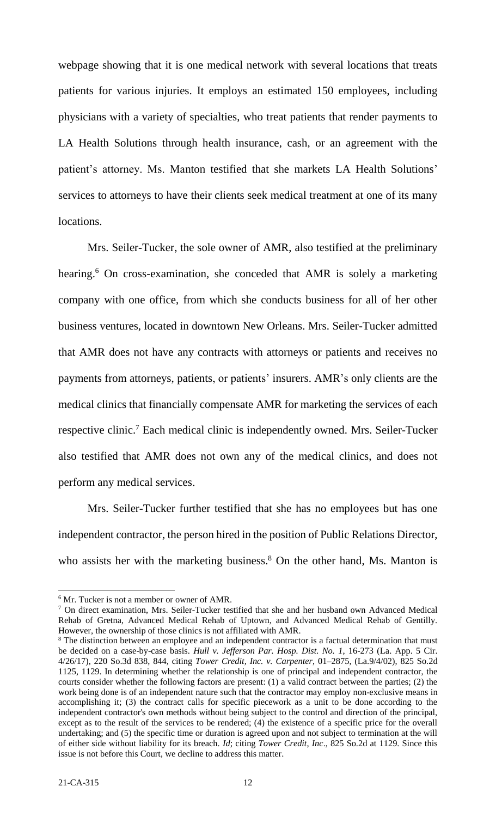webpage showing that it is one medical network with several locations that treats patients for various injuries. It employs an estimated 150 employees, including physicians with a variety of specialties, who treat patients that render payments to LA Health Solutions through health insurance, cash, or an agreement with the patient's attorney. Ms. Manton testified that she markets LA Health Solutions' services to attorneys to have their clients seek medical treatment at one of its many locations.

Mrs. Seiler-Tucker, the sole owner of AMR, also testified at the preliminary hearing.<sup>6</sup> On cross-examination, she conceded that AMR is solely a marketing company with one office, from which she conducts business for all of her other business ventures, located in downtown New Orleans. Mrs. Seiler-Tucker admitted that AMR does not have any contracts with attorneys or patients and receives no payments from attorneys, patients, or patients' insurers. AMR's only clients are the medical clinics that financially compensate AMR for marketing the services of each respective clinic.<sup>7</sup> Each medical clinic is independently owned. Mrs. Seiler-Tucker also testified that AMR does not own any of the medical clinics, and does not perform any medical services.

Mrs. Seiler-Tucker further testified that she has no employees but has one independent contractor, the person hired in the position of Public Relations Director, who assists her with the marketing business.<sup>8</sup> On the other hand, Ms. Manton is

 $\overline{\phantom{a}}$  $6$  Mr. Tucker is not a member or owner of AMR.

<sup>&</sup>lt;sup>7</sup> On direct examination, Mrs. Seiler-Tucker testified that she and her husband own Advanced Medical Rehab of Gretna, Advanced Medical Rehab of Uptown, and Advanced Medical Rehab of Gentilly. However, the ownership of those clinics is not affiliated with AMR.

<sup>&</sup>lt;sup>8</sup> The distinction between an employee and an independent contractor is a factual determination that must be decided on a case-by-case basis. *Hull v. Jefferson Par. Hosp. Dist. No. 1*, 16-273 (La. App. 5 Cir. 4/26/17), 220 So.3d 838, 844, citing *Tower Credit, Inc. v. Carpenter*, 01–2875, (La.9/4/02), 825 So.2d 1125, 1129. In determining whether the relationship is one of principal and independent contractor, the courts consider whether the following factors are present: (1) a valid contract between the parties; (2) the work being done is of an independent nature such that the contractor may employ non-exclusive means in accomplishing it; (3) the contract calls for specific piecework as a unit to be done according to the independent contractor's own methods without being subject to the control and direction of the principal, except as to the result of the services to be rendered; (4) the existence of a specific price for the overall undertaking; and (5) the specific time or duration is agreed upon and not subject to termination at the will of either side without liability for its breach. *Id*; citing *Tower Credit, Inc*., 825 So.2d at 1129. Since this issue is not before this Court, we decline to address this matter.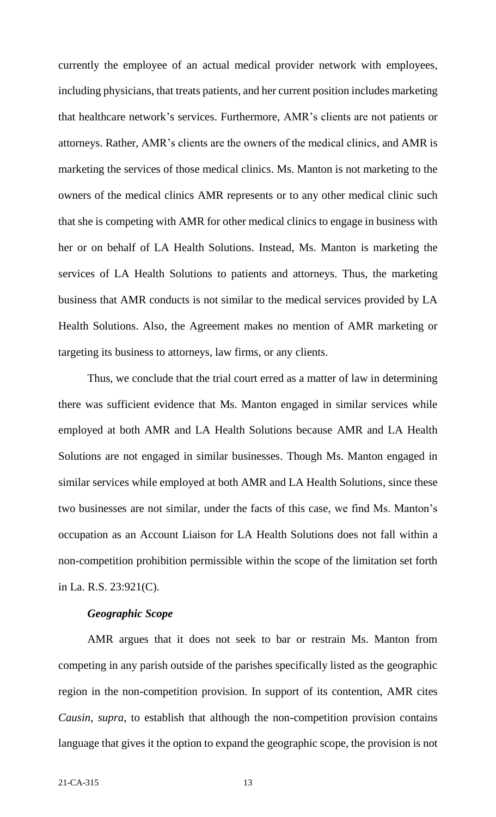currently the employee of an actual medical provider network with employees, including physicians, that treats patients, and her current position includes marketing that healthcare network's services. Furthermore, AMR's clients are not patients or attorneys. Rather, AMR's clients are the owners of the medical clinics, and AMR is marketing the services of those medical clinics. Ms. Manton is not marketing to the owners of the medical clinics AMR represents or to any other medical clinic such that she is competing with AMR for other medical clinics to engage in business with her or on behalf of LA Health Solutions. Instead, Ms. Manton is marketing the services of LA Health Solutions to patients and attorneys. Thus, the marketing business that AMR conducts is not similar to the medical services provided by LA Health Solutions. Also, the Agreement makes no mention of AMR marketing or targeting its business to attorneys, law firms, or any clients.

Thus, we conclude that the trial court erred as a matter of law in determining there was sufficient evidence that Ms. Manton engaged in similar services while employed at both AMR and LA Health Solutions because AMR and LA Health Solutions are not engaged in similar businesses. Though Ms. Manton engaged in similar services while employed at both AMR and LA Health Solutions, since these two businesses are not similar, under the facts of this case, we find Ms. Manton's occupation as an Account Liaison for LA Health Solutions does not fall within a non-competition prohibition permissible within the scope of the limitation set forth in La. R.S. 23:921(C).

#### *Geographic Scope*

AMR argues that it does not seek to bar or restrain Ms. Manton from competing in any parish outside of the parishes specifically listed as the geographic region in the non-competition provision. In support of its contention, AMR cites *Causin*, *supra*, to establish that although the non-competition provision contains language that gives it the option to expand the geographic scope, the provision is not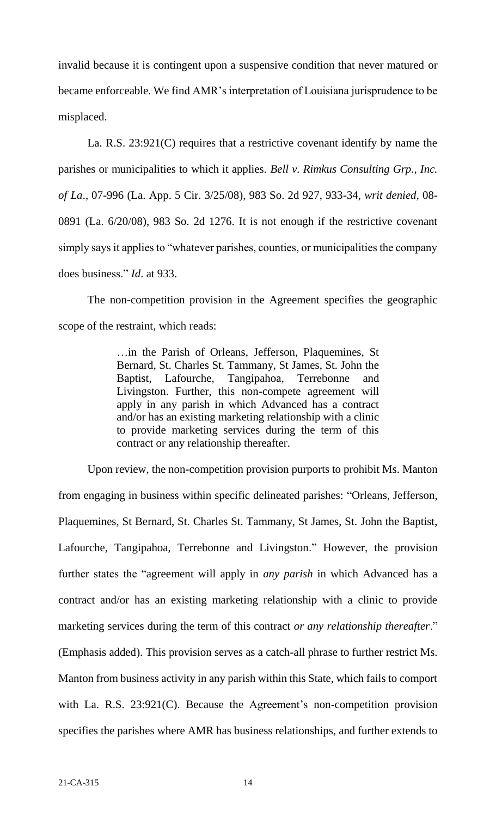invalid because it is contingent upon a suspensive condition that never matured or became enforceable. We find AMR's interpretation of Louisiana jurisprudence to be misplaced.

La. R.S. 23:921(C) requires that a restrictive covenant identify by name the parishes or municipalities to which it applies. *Bell v. Rimkus Consulting Grp., Inc. of La*., 07-996 (La. App. 5 Cir. 3/25/08), 983 So. 2d 927, 933-34, *writ denied,* 08- 0891 (La. 6/20/08), 983 So. 2d 1276. It is not enough if the restrictive covenant simply says it applies to "whatever parishes, counties, or municipalities the company does business." *Id*. at 933.

The non-competition provision in the Agreement specifies the geographic scope of the restraint, which reads:

> …in the Parish of Orleans, Jefferson, Plaquemines, St Bernard, St. Charles St. Tammany, St James, St. John the Baptist, Lafourche, Tangipahoa, Terrebonne and Livingston. Further, this non-compete agreement will apply in any parish in which Advanced has a contract and/or has an existing marketing relationship with a clinic to provide marketing services during the term of this contract or any relationship thereafter.

Upon review, the non-competition provision purports to prohibit Ms. Manton from engaging in business within specific delineated parishes: "Orleans, Jefferson, Plaquemines, St Bernard, St. Charles St. Tammany, St James, St. John the Baptist, Lafourche, Tangipahoa, Terrebonne and Livingston." However, the provision further states the "agreement will apply in *any parish* in which Advanced has a contract and/or has an existing marketing relationship with a clinic to provide marketing services during the term of this contract *or any relationship thereafter*." (Emphasis added). This provision serves as a catch-all phrase to further restrict Ms. Manton from business activity in any parish within this State, which fails to comport with La. R.S. 23:921(C). Because the Agreement's non-competition provision specifies the parishes where AMR has business relationships, and further extends to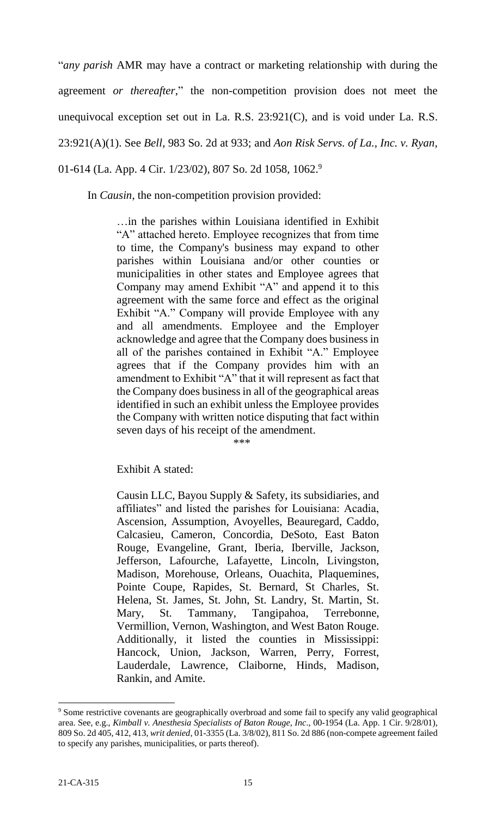"*any parish* AMR may have a contract or marketing relationship with during the agreement *or thereafter*," the non-competition provision does not meet the unequivocal exception set out in La. R.S. 23:921(C), and is void under La. R.S. 23:921(A)(1). See *Bell*, 983 So. 2d at 933; and *Aon Risk Servs. of La., Inc. v. Ryan*, 01-614 (La. App. 4 Cir. 1/23/02), 807 So. 2d 1058, 1062.<sup>9</sup>

In *Causin*, the non-competition provision provided:

…in the parishes within Louisiana identified in Exhibit "A" attached hereto. Employee recognizes that from time to time, the Company's business may expand to other parishes within Louisiana and/or other counties or municipalities in other states and Employee agrees that Company may amend Exhibit "A" and append it to this agreement with the same force and effect as the original Exhibit "A." Company will provide Employee with any and all amendments. Employee and the Employer acknowledge and agree that the Company does business in all of the parishes contained in Exhibit "A." Employee agrees that if the Company provides him with an amendment to Exhibit "A" that it will represent as fact that the Company does business in all of the geographical areas identified in such an exhibit unless the Employee provides the Company with written notice disputing that fact within seven days of his receipt of the amendment.

\*\*\*

Exhibit A stated:

Causin LLC, Bayou Supply & Safety, its subsidiaries, and affiliates" and listed the parishes for Louisiana: Acadia, Ascension, Assumption, Avoyelles, Beauregard, Caddo, Calcasieu, Cameron, Concordia, DeSoto, East Baton Rouge, Evangeline, Grant, Iberia, Iberville, Jackson, Jefferson, Lafourche, Lafayette, Lincoln, Livingston, Madison, Morehouse, Orleans, Ouachita, Plaquemines, Pointe Coupe, Rapides, St. Bernard, St Charles, St. Helena, St. James, St. John, St. Landry, St. Martin, St. Mary, St. Tammany, Tangipahoa, Terrebonne, Vermillion, Vernon, Washington, and West Baton Rouge. Additionally, it listed the counties in Mississippi: Hancock, Union, Jackson, Warren, Perry, Forrest, Lauderdale, Lawrence, Claiborne, Hinds, Madison, Rankin, and Amite.

 $\overline{\phantom{a}}$ 

<sup>&</sup>lt;sup>9</sup> Some restrictive covenants are geographically overbroad and some fail to specify any valid geographical area. See, e.g., *Kimball v. Anesthesia Specialists of Baton Rouge, Inc*., 00-1954 (La. App. 1 Cir. 9/28/01), 809 So. 2d 405, 412, 413, *writ denied*, 01-3355 (La. 3/8/02), 811 So. 2d 886 (non-compete agreement failed to specify any parishes, municipalities, or parts thereof).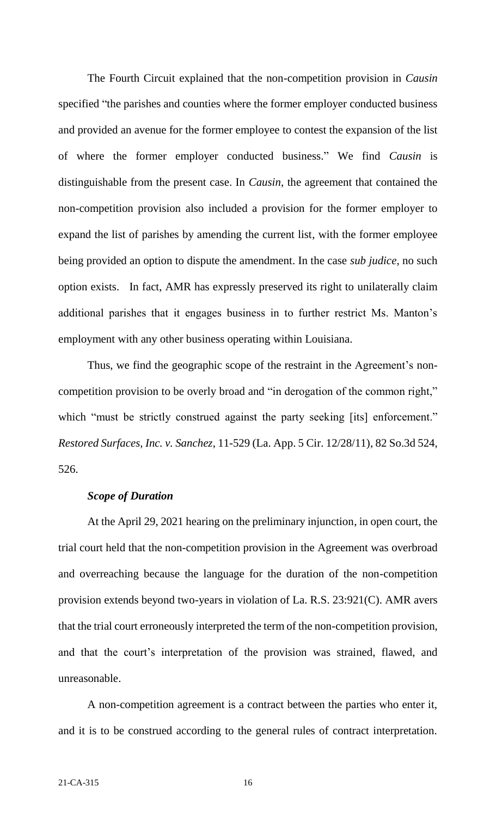The Fourth Circuit explained that the non-competition provision in *Causin* specified "the parishes and counties where the former employer conducted business and provided an avenue for the former employee to contest the expansion of the list of where the former employer conducted business." We find *Causin* is distinguishable from the present case. In *Causin*, the agreement that contained the non-competition provision also included a provision for the former employer to expand the list of parishes by amending the current list, with the former employee being provided an option to dispute the amendment. In the case *sub judice*, no such option exists. In fact, AMR has expressly preserved its right to unilaterally claim additional parishes that it engages business in to further restrict Ms. Manton's employment with any other business operating within Louisiana.

Thus, we find the geographic scope of the restraint in the Agreement's noncompetition provision to be overly broad and "in derogation of the common right," which "must be strictly construed against the party seeking [its] enforcement." *Restored Surfaces, Inc. v. Sanchez*, 11-529 (La. App. 5 Cir. 12/28/11), 82 So.3d 524, 526.

### *Scope of Duration*

At the April 29, 2021 hearing on the preliminary injunction, in open court, the trial court held that the non-competition provision in the Agreement was overbroad and overreaching because the language for the duration of the non-competition provision extends beyond two-years in violation of La. R.S. 23:921(C). AMR avers that the trial court erroneously interpreted the term of the non-competition provision, and that the court's interpretation of the provision was strained, flawed, and unreasonable.

A non-competition agreement is a contract between the parties who enter it, and it is to be construed according to the general rules of contract interpretation.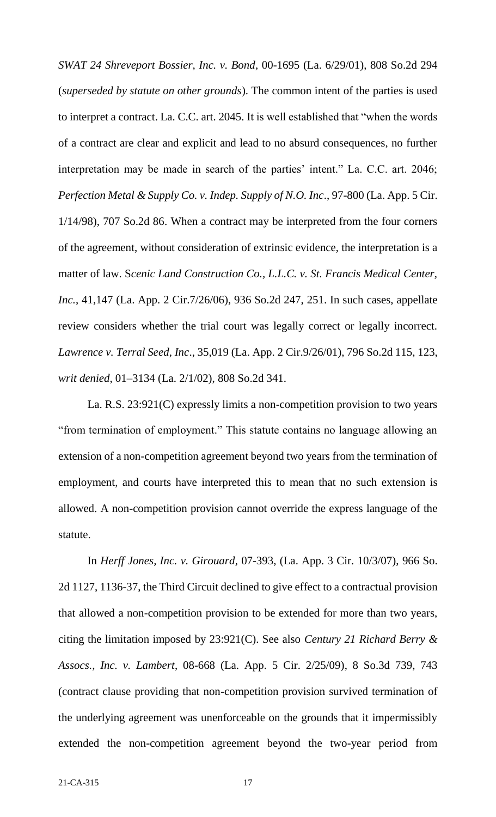*SWAT 24 Shreveport Bossier, Inc. v. Bond*, 00-1695 (La. 6/29/01), 808 So.2d 294 (*superseded by statute on other grounds*). The common intent of the parties is used to interpret a contract. La. C.C. art. 2045. It is well established that "when the words of a contract are clear and explicit and lead to no absurd consequences, no further interpretation may be made in search of the parties' intent." La. C.C. art. 2046; *Perfection Metal & Supply Co. v. Indep. Supply of N.O. Inc*., 97-800 (La. App. 5 Cir. 1/14/98), 707 So.2d 86. When a contract may be interpreted from the four corners of the agreement, without consideration of extrinsic evidence, the interpretation is a matter of law. S*cenic Land Construction Co., L.L.C. v. St. Francis Medical Center, Inc.*, 41,147 (La. App. 2 Cir.7/26/06), 936 So.2d 247, 251. In such cases, appellate review considers whether the trial court was legally correct or legally incorrect. *Lawrence v. Terral Seed, Inc*., 35,019 (La. App. 2 Cir.9/26/01), 796 So.2d 115, 123, *writ denied*, 01–3134 (La. 2/1/02), 808 So.2d 341.

La. R.S. 23:921(C) expressly limits a non-competition provision to two years "from termination of employment." This statute contains no language allowing an extension of a non-competition agreement beyond two years from the termination of employment, and courts have interpreted this to mean that no such extension is allowed. A non-competition provision cannot override the express language of the statute.

In *Herff Jones, Inc. v. Girouard*, 07-393, (La. App. 3 Cir. 10/3/07), 966 So. 2d 1127, 1136-37, the Third Circuit declined to give effect to a contractual provision that allowed a non-competition provision to be extended for more than two years, citing the limitation imposed by 23:921(C). See also *Century 21 Richard Berry & Assocs., Inc. v. Lambert*, 08-668 (La. App. 5 Cir. 2/25/09), 8 So.3d 739, 743 (contract clause providing that non-competition provision survived termination of the underlying agreement was unenforceable on the grounds that it impermissibly extended the non-competition agreement beyond the two-year period from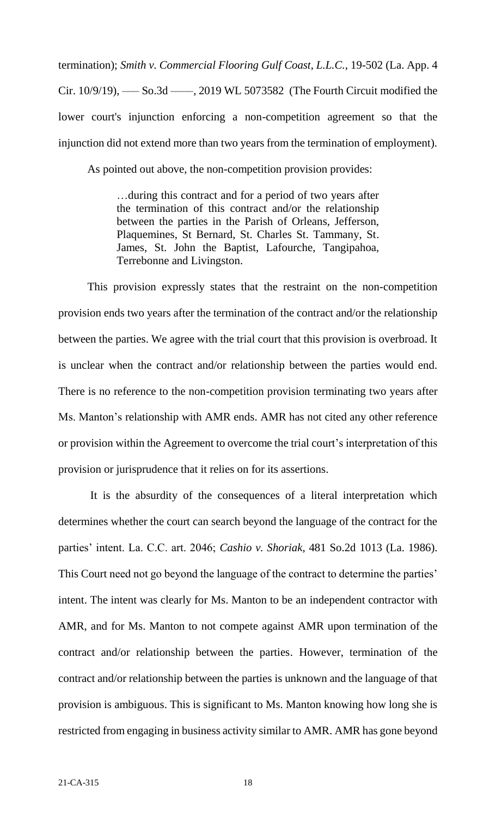termination); *Smith v. Commercial Flooring Gulf Coast, L.L.C.*, 19-502 (La. App. 4 Cir. 10/9/19), ––– So.3d ––––, 2019 WL 5073582 (The Fourth Circuit modified the lower court's injunction enforcing a non-competition agreement so that the injunction did not extend more than two years from the termination of employment).

As pointed out above, the non-competition provision provides:

…during this contract and for a period of two years after the termination of this contract and/or the relationship between the parties in the Parish of Orleans, Jefferson, Plaquemines, St Bernard, St. Charles St. Tammany, St. James, St. John the Baptist, Lafourche, Tangipahoa, Terrebonne and Livingston.

This provision expressly states that the restraint on the non-competition provision ends two years after the termination of the contract and/or the relationship between the parties. We agree with the trial court that this provision is overbroad. It is unclear when the contract and/or relationship between the parties would end. There is no reference to the non-competition provision terminating two years after Ms. Manton's relationship with AMR ends. AMR has not cited any other reference or provision within the Agreement to overcome the trial court's interpretation of this provision or jurisprudence that it relies on for its assertions.

It is the absurdity of the consequences of a literal interpretation which determines whether the court can search beyond the language of the contract for the parties' intent. La. C.C. art. 2046; *Cashio v. Shoriak*, 481 So.2d 1013 (La. 1986). This Court need not go beyond the language of the contract to determine the parties' intent. The intent was clearly for Ms. Manton to be an independent contractor with AMR, and for Ms. Manton to not compete against AMR upon termination of the contract and/or relationship between the parties. However, termination of the contract and/or relationship between the parties is unknown and the language of that provision is ambiguous. This is significant to Ms. Manton knowing how long she is restricted from engaging in business activity similar to AMR. AMR has gone beyond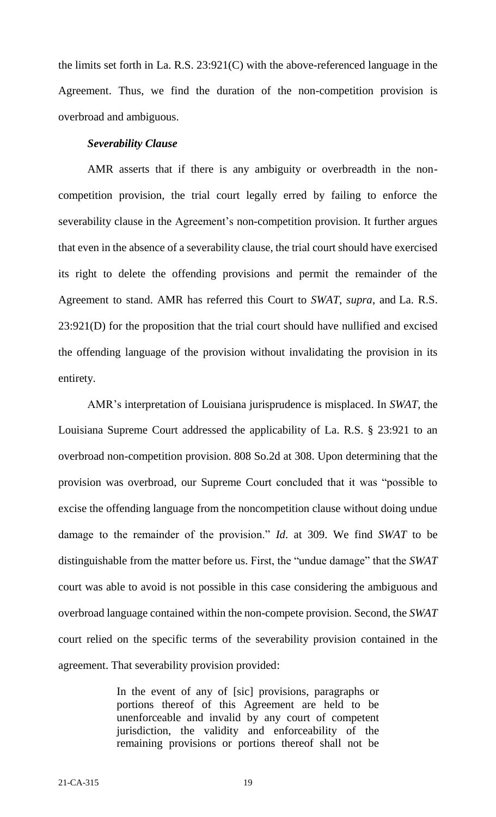the limits set forth in La. R.S. 23:921(C) with the above-referenced language in the Agreement. Thus, we find the duration of the non-competition provision is overbroad and ambiguous.

#### *Severability Clause*

AMR asserts that if there is any ambiguity or overbreadth in the noncompetition provision, the trial court legally erred by failing to enforce the severability clause in the Agreement's non-competition provision. It further argues that even in the absence of a severability clause, the trial court should have exercised its right to delete the offending provisions and permit the remainder of the Agreement to stand. AMR has referred this Court to *SWAT*, *supra*, and La. R.S. 23:921(D) for the proposition that the trial court should have nullified and excised the offending language of the provision without invalidating the provision in its entirety.

AMR's interpretation of Louisiana jurisprudence is misplaced. In *SWAT*, the Louisiana Supreme Court addressed the applicability of La. R.S. § 23:921 to an overbroad non-competition provision. 808 So.2d at 308. Upon determining that the provision was overbroad, our Supreme Court concluded that it was "possible to excise the offending language from the noncompetition clause without doing undue damage to the remainder of the provision." *Id*. at 309. We find *SWAT* to be distinguishable from the matter before us. First, the "undue damage" that the *SWAT* court was able to avoid is not possible in this case considering the ambiguous and overbroad language contained within the non-compete provision. Second, the *SWAT* court relied on the specific terms of the severability provision contained in the agreement. That severability provision provided:

> In the event of any of [sic] provisions, paragraphs or portions thereof of this Agreement are held to be unenforceable and invalid by any court of competent jurisdiction, the validity and enforceability of the remaining provisions or portions thereof shall not be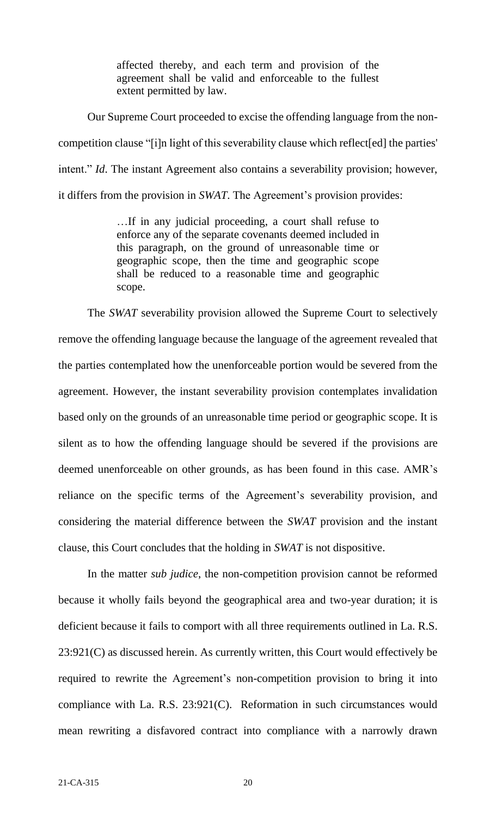affected thereby, and each term and provision of the agreement shall be valid and enforceable to the fullest extent permitted by law.

Our Supreme Court proceeded to excise the offending language from the noncompetition clause "[i]n light of this severability clause which reflect[ed] the parties' intent." *Id*. The instant Agreement also contains a severability provision; however, it differs from the provision in *SWAT*. The Agreement's provision provides:

> …If in any judicial proceeding, a court shall refuse to enforce any of the separate covenants deemed included in this paragraph, on the ground of unreasonable time or geographic scope, then the time and geographic scope shall be reduced to a reasonable time and geographic scope.

The *SWAT* severability provision allowed the Supreme Court to selectively remove the offending language because the language of the agreement revealed that the parties contemplated how the unenforceable portion would be severed from the agreement. However, the instant severability provision contemplates invalidation based only on the grounds of an unreasonable time period or geographic scope. It is silent as to how the offending language should be severed if the provisions are deemed unenforceable on other grounds, as has been found in this case. AMR's reliance on the specific terms of the Agreement's severability provision, and considering the material difference between the *SWAT* provision and the instant clause, this Court concludes that the holding in *SWAT* is not dispositive.

In the matter *sub judice*, the non-competition provision cannot be reformed because it wholly fails beyond the geographical area and two-year duration; it is deficient because it fails to comport with all three requirements outlined in La. R.S. 23:921(C) as discussed herein. As currently written, this Court would effectively be required to rewrite the Agreement's non-competition provision to bring it into compliance with La. R.S. 23:921(C). Reformation in such circumstances would mean rewriting a disfavored contract into compliance with a narrowly drawn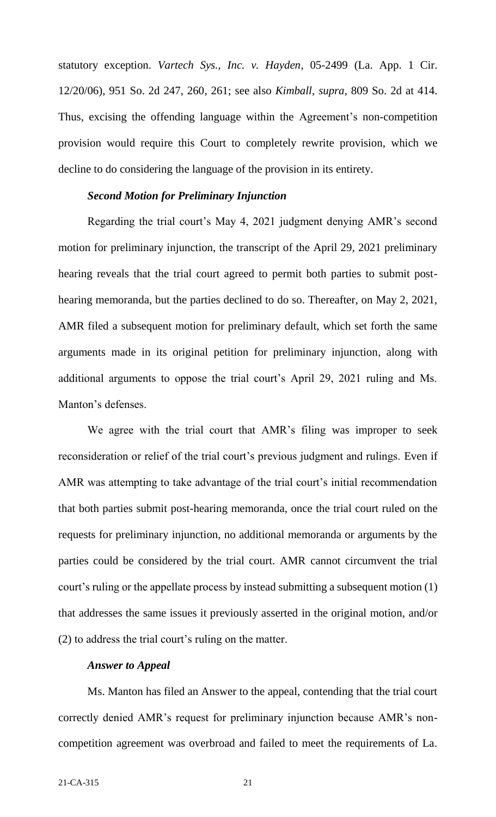statutory exception. *Vartech Sys., Inc. v. Hayden*, 05-2499 (La. App. 1 Cir. 12/20/06), 951 So. 2d 247, 260, 261; see also *Kimball*, *supra*, 809 So. 2d at 414. Thus, excising the offending language within the Agreement's non-competition provision would require this Court to completely rewrite provision, which we decline to do considering the language of the provision in its entirety.

### *Second Motion for Preliminary Injunction*

Regarding the trial court's May 4, 2021 judgment denying AMR's second motion for preliminary injunction, the transcript of the April 29, 2021 preliminary hearing reveals that the trial court agreed to permit both parties to submit posthearing memoranda, but the parties declined to do so. Thereafter, on May 2, 2021, AMR filed a subsequent motion for preliminary default, which set forth the same arguments made in its original petition for preliminary injunction, along with additional arguments to oppose the trial court's April 29, 2021 ruling and Ms. Manton's defenses.

We agree with the trial court that AMR's filing was improper to seek reconsideration or relief of the trial court's previous judgment and rulings. Even if AMR was attempting to take advantage of the trial court's initial recommendation that both parties submit post-hearing memoranda, once the trial court ruled on the requests for preliminary injunction, no additional memoranda or arguments by the parties could be considered by the trial court. AMR cannot circumvent the trial court's ruling or the appellate process by instead submitting a subsequent motion (1) that addresses the same issues it previously asserted in the original motion, and/or (2) to address the trial court's ruling on the matter.

#### *Answer to Appeal*

Ms. Manton has filed an Answer to the appeal, contending that the trial court correctly denied AMR's request for preliminary injunction because AMR's noncompetition agreement was overbroad and failed to meet the requirements of La.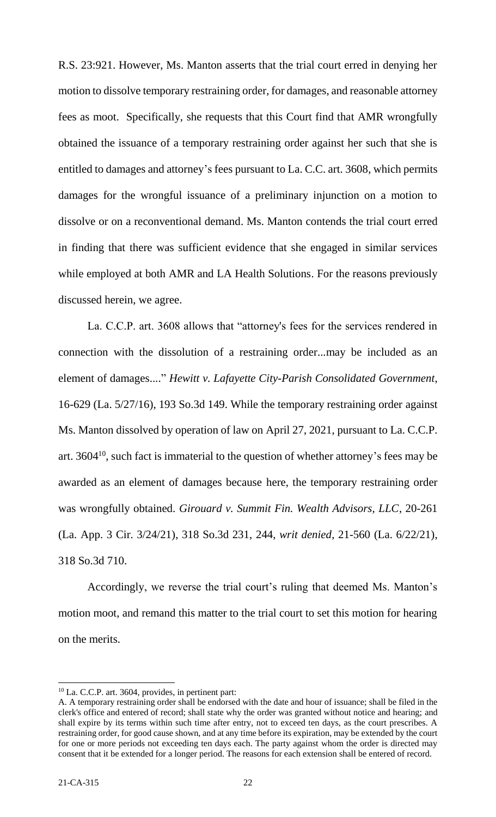R.S. 23:921. However, Ms. Manton asserts that the trial court erred in denying her motion to dissolve temporary restraining order, for damages, and reasonable attorney fees as moot. Specifically, she requests that this Court find that AMR wrongfully obtained the issuance of a temporary restraining order against her such that she is entitled to damages and attorney's fees pursuant to La. C.C. art. 3608, which permits damages for the wrongful issuance of a preliminary injunction on a motion to dissolve or on a reconventional demand. Ms. Manton contends the trial court erred in finding that there was sufficient evidence that she engaged in similar services while employed at both AMR and LA Health Solutions. For the reasons previously discussed herein, we agree.

La. C.C.P. art. 3608 allows that "attorney's fees for the services rendered in connection with the dissolution of a restraining order...may be included as an element of damages...." *Hewitt v. Lafayette City-Parish Consolidated Government*, 16-629 (La. 5/27/16), 193 So.3d 149. While the temporary restraining order against Ms. Manton dissolved by operation of law on April 27, 2021, pursuant to La. C.C.P. art. 3604<sup>10</sup>, such fact is immaterial to the question of whether attorney's fees may be awarded as an element of damages because here, the temporary restraining order was wrongfully obtained. *Girouard v. Summit Fin. Wealth Advisors, LLC*, 20-261 (La. App. 3 Cir. 3/24/21), 318 So.3d 231, 244, *writ denied*, 21-560 (La. 6/22/21), 318 So.3d 710.

Accordingly, we reverse the trial court's ruling that deemed Ms. Manton's motion moot, and remand this matter to the trial court to set this motion for hearing on the merits.

 $\overline{\phantom{a}}$  $10$  La. C.C.P. art. 3604, provides, in pertinent part:

A. A temporary restraining order shall be endorsed with the date and hour of issuance; shall be filed in the clerk's office and entered of record; shall state why the order was granted without notice and hearing; and shall expire by its terms within such time after entry, not to exceed ten days, as the court prescribes. A restraining order, for good cause shown, and at any time before its expiration, may be extended by the court for one or more periods not exceeding ten days each. The party against whom the order is directed may consent that it be extended for a longer period. The reasons for each extension shall be entered of record.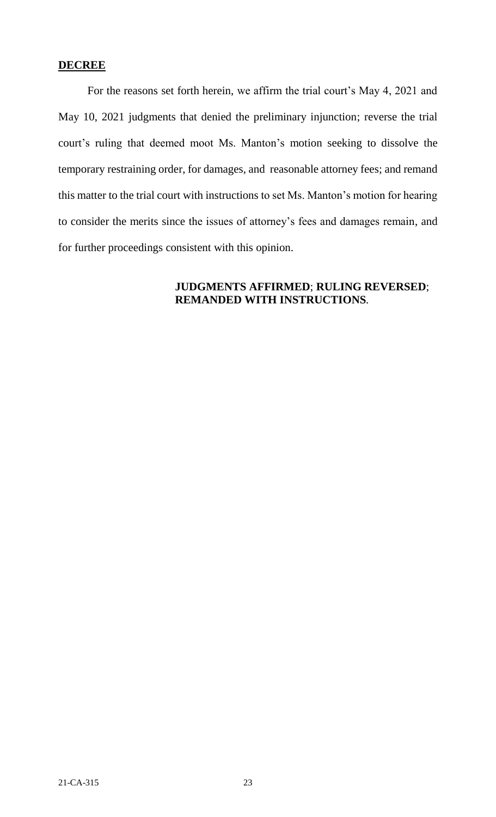### **DECREE**

For the reasons set forth herein, we affirm the trial court's May 4, 2021 and May 10, 2021 judgments that denied the preliminary injunction; reverse the trial court's ruling that deemed moot Ms. Manton's motion seeking to dissolve the temporary restraining order, for damages, and reasonable attorney fees; and remand this matter to the trial court with instructions to set Ms. Manton's motion for hearing to consider the merits since the issues of attorney's fees and damages remain, and for further proceedings consistent with this opinion.

## **JUDGMENTS AFFIRMED**; **RULING REVERSED**; **REMANDED WITH INSTRUCTIONS**.